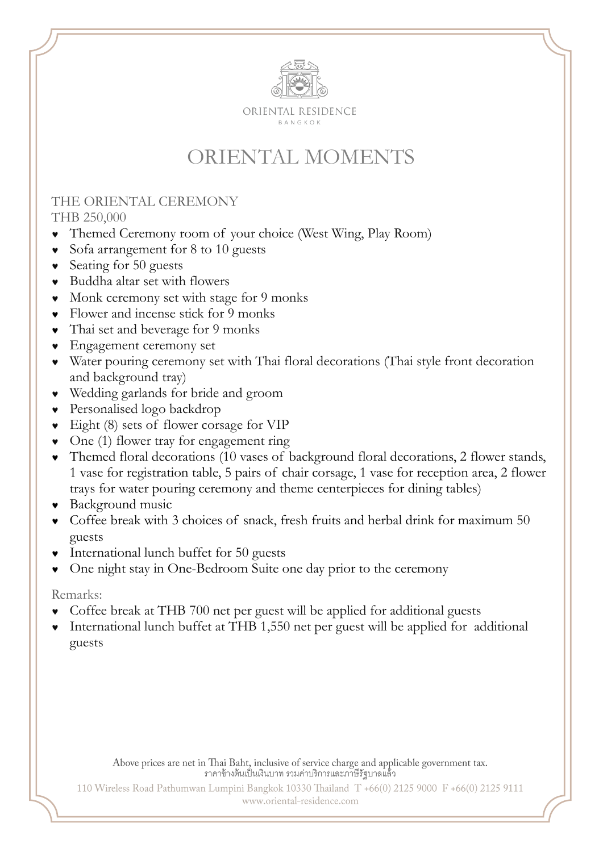

# ORIENTAL MOMENTS

#### THE ORIENTAL CEREMONY THB 250,000

- Themed Ceremony room of your choice (West Wing, Play Room)
- Sofa arrangement for 8 to 10 guests
- Seating for 50 guests
- Buddha altar set with flowers
- Monk ceremony set with stage for 9 monks
- Flower and incense stick for 9 monks
- Thai set and beverage for 9 monks
- Engagement ceremony set
- Water pouring ceremony set with Thai floral decorations (Thai style front decoration and background tray)
- Wedding garlands for bride and groom
- Personalised logo backdrop
- Eight (8) sets of flower corsage for VIP
- One (1) flower tray for engagement ring
- Themed floral decorations (10 vases of background floral decorations, 2 flower stands, 1 vase for registration table, 5 pairs of chair corsage, 1 vase for reception area, 2 flower trays for water pouring ceremony and theme centerpieces for dining tables)
- Background music
- Coffee break with 3 choices of snack, fresh fruits and herbal drink for maximum 50 guests
- International lunch buffet for 50 guests
- One night stay in One-Bedroom Suite one day prior to the ceremony

#### Remarks:

- Coffee break at THB 700 net per guest will be applied for additional guests
- International lunch buffet at THB 1,550 net per guest will be applied for additional guests

Above prices are net in Thai Baht, inclusive of service charge and applicable government tax.<br>จาคาข้างต้นเป็นเงินบาท รวมค่าบริการและภาษีรัฐบาลแล้ว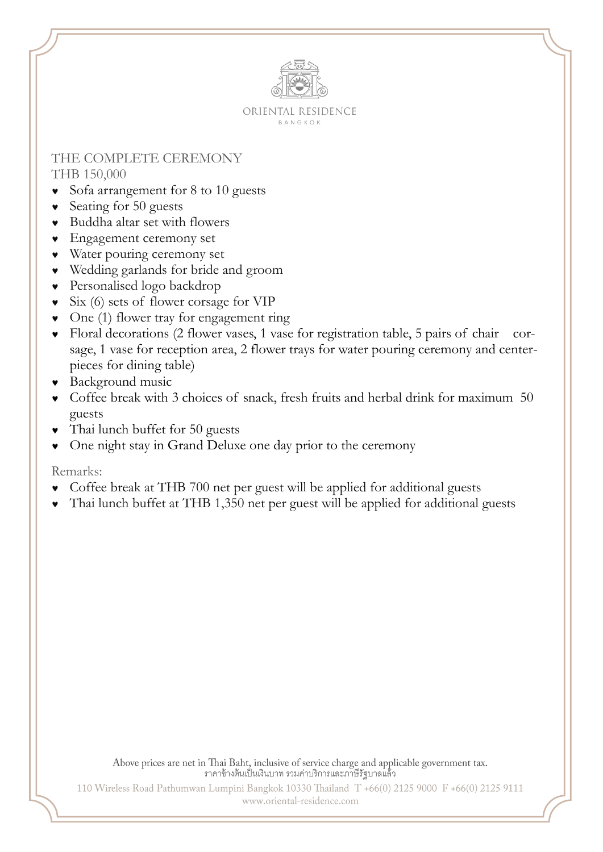

#### THE COMPLETE CEREMONY THB 150,000

- Sofa arrangement for 8 to 10 guests
- Seating for 50 guests
- Buddha altar set with flowers
- Engagement ceremony set
- Water pouring ceremony set
- Wedding garlands for bride and groom
- Personalised logo backdrop
- Six (6) sets of flower corsage for VIP
- One (1) flower tray for engagement ring
- Floral decorations (2 flower vases, 1 vase for registration table, 5 pairs of chair corsage, 1 vase for reception area, 2 flower trays for water pouring ceremony and centerpieces for dining table)
- Background music
- Coffee break with 3 choices of snack, fresh fruits and herbal drink for maximum 50 guests
- Thai lunch buffet for 50 guests
- One night stay in Grand Deluxe one day prior to the ceremony

#### Remarks:

- Coffee break at THB 700 net per guest will be applied for additional guests
- Thai lunch buffet at THB 1,350 net per guest will be applied for additional guests

Above prices are net in Thai Baht, inclusive of service charge and applicable government tax.<br>ราคาข้างต้นเป็นเงินบาท รวมค่าบริการและภาษีรัฐบาลแล้ว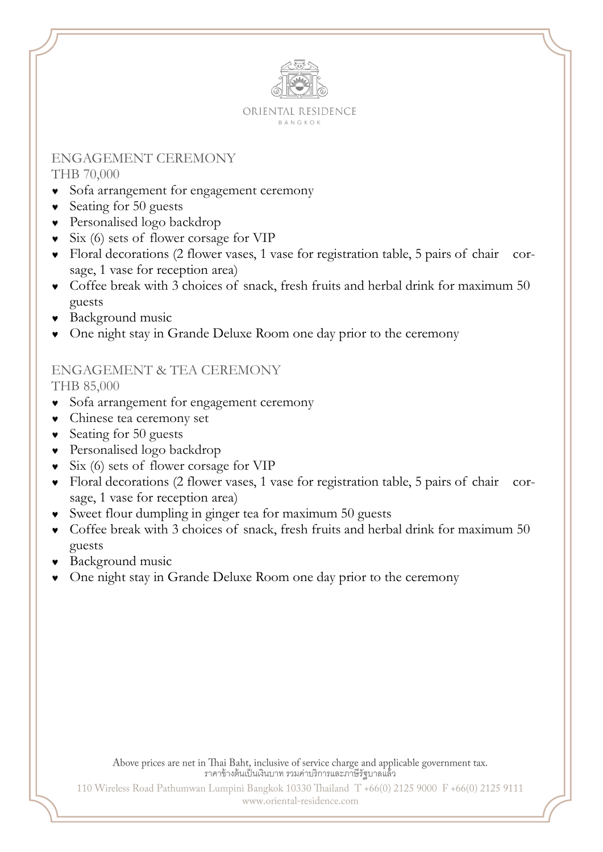

#### ENGAGEMENT CEREMONY THB 70,000

- Sofa arrangement for engagement ceremony
- Seating for 50 guests
- Personalised logo backdrop
- Six (6) sets of flower corsage for VIP
- Floral decorations (2 flower vases, 1 vase for registration table, 5 pairs of chair corsage, 1 vase for reception area)
- Coffee break with 3 choices of snack, fresh fruits and herbal drink for maximum 50 guests
- Background music
- One night stay in Grande Deluxe Room one day prior to the ceremony

### ENGAGEMENT & TEA CEREMONY

THB 85,000

- Sofa arrangement for engagement ceremony
- Chinese tea ceremony set
- Seating for 50 guests
- Personalised logo backdrop
- Six (6) sets of flower corsage for VIP
- Floral decorations (2 flower vases, 1 vase for registration table, 5 pairs of chair corsage, 1 vase for reception area)
- Sweet flour dumpling in ginger tea for maximum 50 guests
- Coffee break with 3 choices of snack, fresh fruits and herbal drink for maximum 50 guests
- Background music
- One night stay in Grande Deluxe Room one day prior to the ceremony

Above prices are net in Thai Baht, inclusive of service charge and applicable government tax.<br>ราคาข้างต้นเป็นเงินบาท รวมค่าบริการและภาษีรัฐบาลแล้ว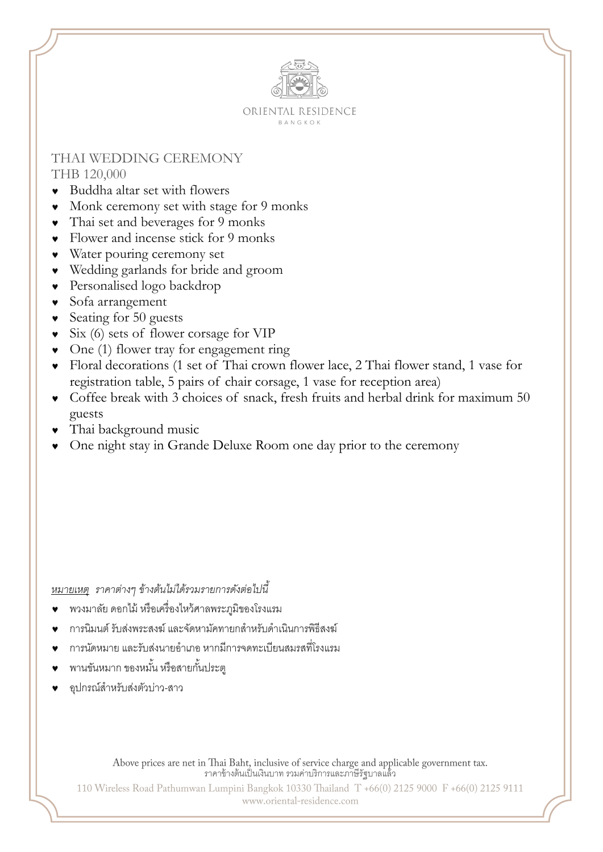

#### THAI WEDDING CEREMONY THB 120,000

- Buddha altar set with flowers
- Monk ceremony set with stage for 9 monks
- Thai set and beverages for 9 monks
- Flower and incense stick for 9 monks
- Water pouring ceremony set
- Wedding garlands for bride and groom
- Personalised logo backdrop
- Sofa arrangement
- Seating for 50 guests
- Six (6) sets of flower corsage for VIP
- One (1) flower tray for engagement ring
- Floral decorations (1 set of Thai crown flower lace, 2 Thai flower stand, 1 vase for registration table, 5 pairs of chair corsage, 1 vase for reception area)
- Coffee break with 3 choices of snack, fresh fruits and herbal drink for maximum 50 guests
- Thai background music
- One night stay in Grande Deluxe Room one day prior to the ceremony

*หมายเหตุ ราคาต่างๆ ข้างต้นไม่ได้รวมรายการดังต่อไปนี้*

- พวงมาลัย ดอกไม้ หรือเครื่องไหว้ศาลพระภูมิของโรงแรม
- การนิมนต์ รับส่งพระสงฆ์ และจัดหามัคทายกสำหรับดำเนินการพิธีสงฆ์
- การนัดหมาย และรับส่งนายอ าเภอ หากมีการจดทะเบียนสมรสที่โรงแรม
- ้ พานขันหมาก ของหมั้น หรือสายกั้นประต
- อุปกรณ์ส าหรับส่งตัวบ่าว-สาว

Above prices are net in Thai Baht, inclusive of service charge and applicable government tax.<br>ราคาข้างต้นเป็นเงินบาท รวมค่าบริการและภาษีรัฐบาลแล้ว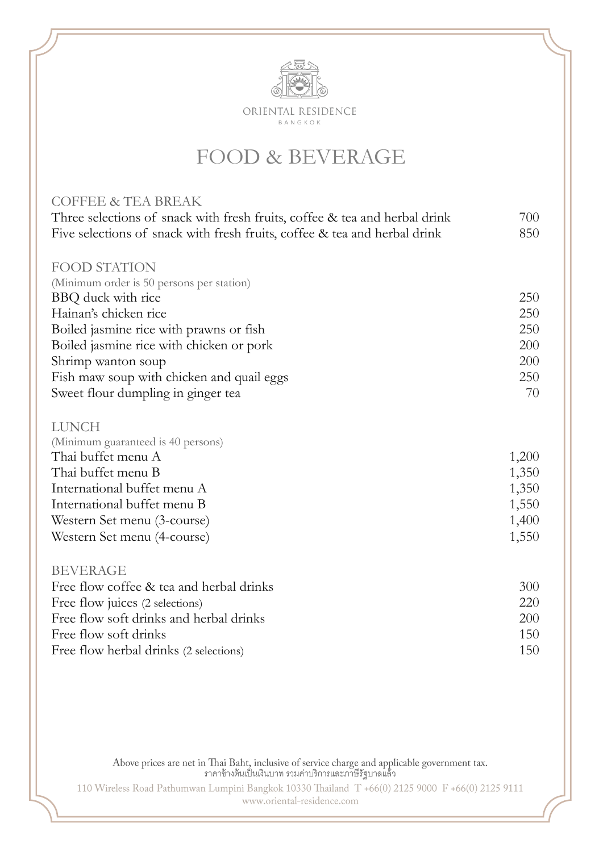

### FOOD & BEVERAGE

| <b>COFFEE &amp; TEA BREAK</b>                                              |       |
|----------------------------------------------------------------------------|-------|
| Three selections of snack with fresh fruits, coffee & tea and herbal drink | 700   |
| Five selections of snack with fresh fruits, coffee & tea and herbal drink  | 850   |
| <b>FOOD STATION</b>                                                        |       |
| (Minimum order is 50 persons per station)                                  |       |
| BBQ duck with rice                                                         | 250   |
| Hainan's chicken rice                                                      | 250   |
| Boiled jasmine rice with prawns or fish                                    | 250   |
| Boiled jasmine rice with chicken or pork                                   | 200   |
| Shrimp wanton soup                                                         | 200   |
| Fish maw soup with chicken and quail eggs                                  | 250   |
| Sweet flour dumpling in ginger tea                                         | 70    |
| <b>LUNCH</b>                                                               |       |
| (Minimum guaranteed is 40 persons)                                         |       |
| Thai buffet menu A                                                         | 1,200 |
| Thai buffet menu B                                                         | 1,350 |
| International buffet menu A                                                | 1,350 |
| International buffet menu B                                                | 1,550 |
| Western Set menu (3-course)                                                | 1,400 |
| Western Set menu (4-course)                                                | 1,550 |
| <b>BEVERAGE</b>                                                            |       |
| Free flow coffee & tea and herbal drinks                                   | 300   |
| Free flow juices (2 selections)                                            | 220   |
| Free flow soft drinks and herbal drinks                                    | 200   |
| Free flow soft drinks                                                      | 150   |
| Free flow herbal drinks (2 selections)                                     | 150   |

Above prices are net in Thai Baht, inclusive of service charge and applicable government tax.<br>ราคาข้างต้นเป็นเงินบาท รวมค่าบริการและภาษีรัฐบาลแล้ว